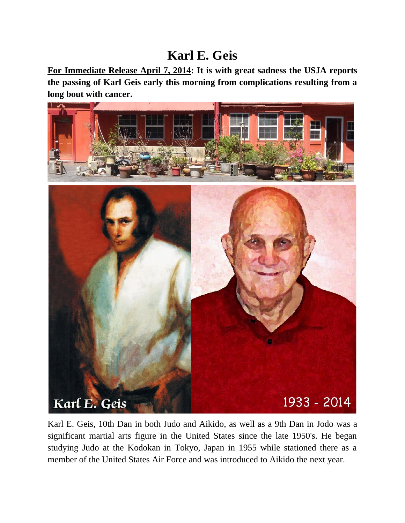# **Karl E. Geis**

**For Immediate Release April 7, 2014: It is with great sadness the USJA reports the passing of Karl Geis early this morning from complications resulting from a long bout with cancer.**



Karl E. Geis, 10th Dan in both Judo and Aikido, as well as a 9th Dan in Jodo was a significant martial arts figure in the United States since the late 1950's. He began studying Judo at the Kodokan in Tokyo, Japan in 1955 while stationed there as a member of the United States Air Force and was introduced to Aikido the next year.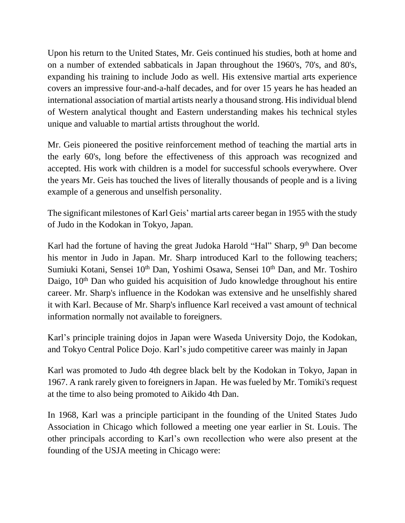Upon his return to the United States, Mr. Geis continued his studies, both at home and on a number of extended sabbaticals in Japan throughout the 1960's, 70's, and 80's, expanding his training to include Jodo as well. His extensive martial arts experience covers an impressive four-and-a-half decades, and for over 15 years he has headed an international association of martial artists nearly a thousand strong. His individual blend of Western analytical thought and Eastern understanding makes his technical styles unique and valuable to martial artists throughout the world.

Mr. Geis pioneered the positive reinforcement method of teaching the martial arts in the early 60's, long before the effectiveness of this approach was recognized and accepted. His work with children is a model for successful schools everywhere. Over the years Mr. Geis has touched the lives of literally thousands of people and is a living example of a generous and unselfish personality.

The significant milestones of Karl Geis' martial arts career began in 1955 with the study of Judo in the Kodokan in Tokyo, Japan.

Karl had the fortune of having the great Judoka Harold "Hal" Sharp,  $9<sup>th</sup>$  Dan become his mentor in Judo in Japan. Mr. Sharp introduced Karl to the following teachers; Sumiuki Kotani, Sensei 10<sup>th</sup> Dan, Yoshimi Osawa, Sensei 10<sup>th</sup> Dan, and Mr. Toshiro Daigo,  $10<sup>th</sup>$  Dan who guided his acquisition of Judo knowledge throughout his entire career. Mr. Sharp's influence in the Kodokan was extensive and he unselfishly shared it with Karl. Because of Mr. Sharp's influence Karl received a vast amount of technical information normally not available to foreigners.

Karl's principle training dojos in Japan were Waseda University Dojo, the Kodokan, and Tokyo Central Police Dojo. Karl's judo competitive career was mainly in Japan

Karl was promoted to Judo 4th degree black belt by the Kodokan in Tokyo, Japan in 1967. A rank rarely given to foreigners in Japan. He was fueled by Mr. Tomiki's request at the time to also being promoted to Aikido 4th Dan.

In 1968, Karl was a principle participant in the founding of the United States Judo Association in Chicago which followed a meeting one year earlier in St. Louis. The other principals according to Karl's own recollection who were also present at the founding of the USJA meeting in Chicago were: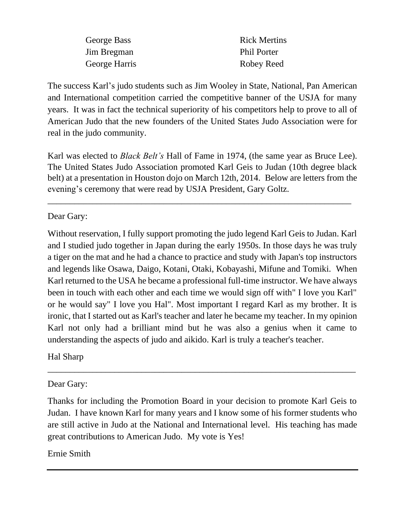| George Bass   | <b>Rick Mertins</b> |
|---------------|---------------------|
| Jim Bregman   | <b>Phil Porter</b>  |
| George Harris | Robey Reed          |

The success Karl's judo students such as Jim Wooley in State, National, Pan American and International competition carried the competitive banner of the USJA for many years. It was in fact the technical superiority of his competitors help to prove to all of American Judo that the new founders of the United States Judo Association were for real in the judo community.

Karl was elected to *Black Belt's* Hall of Fame in 1974, (the same year as Bruce Lee). The United States Judo Association promoted Karl Geis to Judan (10th degree black belt) at a presentation in Houston dojo on March 12th, 2014. Below are letters from the evening's ceremony that were read by USJA President, Gary Goltz.

\_\_\_\_\_\_\_\_\_\_\_\_\_\_\_\_\_\_\_\_\_\_\_\_\_\_\_\_\_\_\_\_\_\_\_\_\_\_\_\_\_\_\_\_\_\_\_\_\_\_\_\_\_\_\_\_\_\_\_\_\_\_\_\_\_\_\_\_

Dear Gary:

Without reservation, I fully support promoting the judo legend Karl Geis to Judan. Karl and I studied judo together in Japan during the early 1950s. In those days he was truly a tiger on the mat and he had a chance to practice and study with Japan's top instructors and legends like Osawa, Daigo, Kotani, Otaki, Kobayashi, Mifune and Tomiki. When Karl returned to the USA he became a professional full-time instructor. We have always been in touch with each other and each time we would sign off with" I love you Karl" or he would say" I love you Hal". Most important I regard Karl as my brother. It is ironic, that I started out as Karl's teacher and later he became my teacher. In my opinion Karl not only had a brilliant mind but he was also a genius when it came to understanding the aspects of judo and aikido. Karl is truly a teacher's teacher.

Hal Sharp

Dear Gary:

Thanks for including the Promotion Board in your decision to promote Karl Geis to Judan. I have known Karl for many years and I know some of his former students who are still active in Judo at the National and International level. His teaching has made great contributions to American Judo. My vote is Yes!

\_\_\_\_\_\_\_\_\_\_\_\_\_\_\_\_\_\_\_\_\_\_\_\_\_\_\_\_\_\_\_\_\_\_\_\_\_\_\_\_\_\_\_\_\_\_\_\_\_\_\_\_\_\_\_\_\_\_\_\_\_\_\_\_\_\_\_\_\_

# Ernie Smith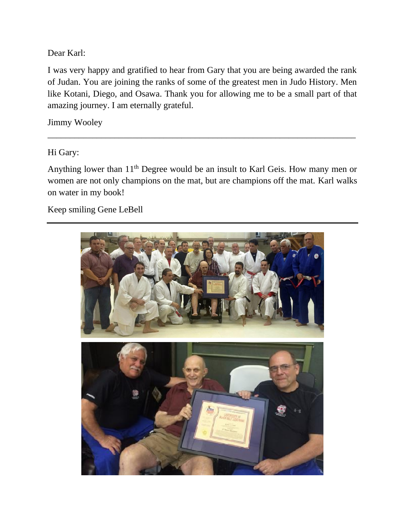Dear Karl:

I was very happy and gratified to hear from Gary that you are being awarded the rank of Judan. You are joining the ranks of some of the greatest men in Judo History. Men like Kotani, Diego, and Osawa. Thank you for allowing me to be a small part of that amazing journey. I am eternally grateful.

Jimmy Wooley

Hi Gary:

Anything lower than  $11<sup>th</sup>$  Degree would be an insult to Karl Geis. How many men or women are not only champions on the mat, but are champions off the mat. Karl walks on water in my book!

\_\_\_\_\_\_\_\_\_\_\_\_\_\_\_\_\_\_\_\_\_\_\_\_\_\_\_\_\_\_\_\_\_\_\_\_\_\_\_\_\_\_\_\_\_\_\_\_\_\_\_\_\_\_\_\_\_\_\_\_\_\_\_\_\_\_\_\_\_

Keep smiling Gene LeBell

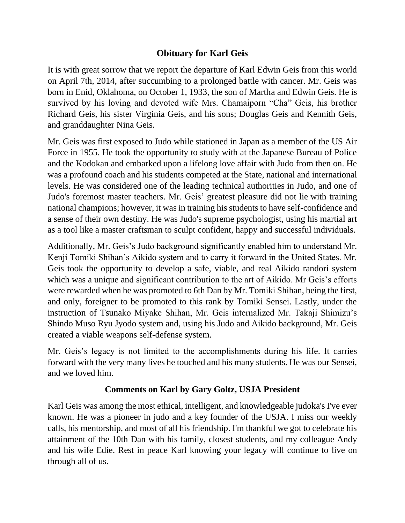### **Obituary for Karl Geis**

It is with great sorrow that we report the departure of Karl Edwin Geis from this world on April 7th, 2014, after succumbing to a prolonged battle with cancer. Mr. Geis was born in Enid, Oklahoma, on October 1, 1933, the son of Martha and Edwin Geis. He is survived by his loving and devoted wife Mrs. Chamaiporn "Cha" Geis, his brother Richard Geis, his sister Virginia Geis, and his sons; Douglas Geis and Kennith Geis, and granddaughter Nina Geis.

Mr. Geis was first exposed to Judo while stationed in Japan as a member of the US Air Force in 1955. He took the opportunity to study with at the Japanese Bureau of Police and the Kodokan and embarked upon a lifelong love affair with Judo from then on. He was a profound coach and his students competed at the State, national and international levels. He was considered one of the leading technical authorities in Judo, and one of Judo's foremost master teachers. Mr. Geis' greatest pleasure did not lie with training national champions; however, it was in training his students to have self-confidence and a sense of their own destiny. He was Judo's supreme psychologist, using his martial art as a tool like a master craftsman to sculpt confident, happy and successful individuals.

Additionally, Mr. Geis's Judo background significantly enabled him to understand Mr. Kenji Tomiki Shihan's Aikido system and to carry it forward in the United States. Mr. Geis took the opportunity to develop a safe, viable, and real Aikido randori system which was a unique and significant contribution to the art of Aikido. Mr Geis's efforts were rewarded when he was promoted to 6th Dan by Mr. Tomiki Shihan, being the first, and only, foreigner to be promoted to this rank by Tomiki Sensei. Lastly, under the instruction of Tsunako Miyake Shihan, Mr. Geis internalized Mr. Takaji Shimizu's Shindo Muso Ryu Jyodo system and, using his Judo and Aikido background, Mr. Geis created a viable weapons self-defense system.

Mr. Geis's legacy is not limited to the accomplishments during his life. It carries forward with the very many lives he touched and his many students. He was our Sensei, and we loved him.

# **Comments on Karl by Gary Goltz, USJA President**

Karl Geis was among the most ethical, intelligent, and knowledgeable judoka's I've ever known. He was a pioneer in judo and a key founder of the USJA. I miss our weekly calls, his mentorship, and most of all his friendship. I'm thankful we got to celebrate his attainment of the 10th Dan with his family, closest students, and my colleague Andy and his wife Edie. Rest in peace Karl knowing your legacy will continue to live on through all of us.